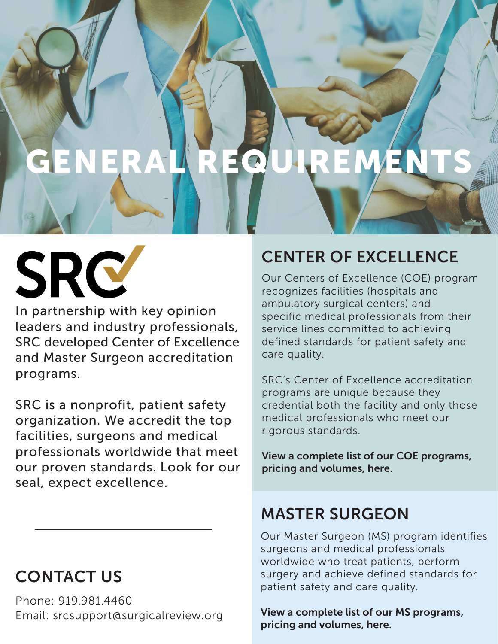## GENERAL REQUIREME

# SRC

In partnership with key opinion leaders and industry professionals, SRC developed Center of Excellence and Master Surgeon accreditation programs.

SRC is a nonprofit, patient safety organization. We accredit the top facilities, surgeons and medical professionals worldwide that meet our proven standards. Look for our seal, expect excellence.

## CONTACT US

Phone: 919.981.4460 Email: srcsupport@surgicalreview.org

## CENTER OF EXCELLENCE

Our Centers of Excellence (COE) program recognizes facilities (hospitals and ambulatory surgical centers) and specific medical professionals from their service lines committed to achieving defined standards for patient safety and care quality.

SRC's Center of Excellence accreditation programs are unique because they credential both the facility and only those medical professionals who meet our rigorous standards.

View a complete list of our COE programs, pricing and volumes, [here.](https://www.surgicalreview.org/index.php/facilities/#tab5) 

### MASTER SURGEON

Our Master Surgeon (MS) program identifies surgeons and medical professionals worldwide who treat patients, perform surgery and achieve defined standards for patient safety and care quality.

View a complete list of our MS programs, pricing and volumes, [here.](https://www.surgicalreview.org/index.php/medical-professionals/#tab5)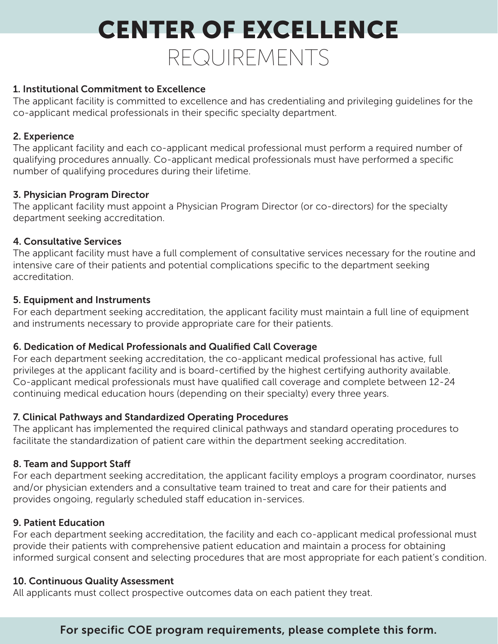## CENTER OF EXCELLENCE REQUIREMENTS

#### 1. Institutional Commitment to Excellence

The applicant facility is committed to excellence and has credentialing and privileging guidelines for the co-applicant medical professionals in their specific specialty department.

#### 2. Experience

The applicant facility and each co-applicant medical professional must perform a required number of qualifying procedures annually. Co-applicant medical professionals must have performed a specific number of qualifying procedures during their lifetime.

#### 3. Physician Program Director

The applicant facility must appoint a Physician Program Director (or co-directors) for the specialty department seeking accreditation.

#### 4. Consultative Services

The applicant facility must have a full complement of consultative services necessary for the routine and intensive care of their patients and potential complications specific to the department seeking accreditation.

#### 5. Equipment and Instruments

For each department seeking accreditation, the applicant facility must maintain a full line of equipment and instruments necessary to provide appropriate care for their patients.

#### 6. Dedication of Medical Professionals and Qualified Call Coverage

For each department seeking accreditation, the co-applicant medical professional has active, full privileges at the applicant facility and is board-certified by the highest certifying authority available. Co-applicant medical professionals must have qualified call coverage and complete between 12-24 continuing medical education hours (depending on their specialty) every three years.

#### 7. Clinical Pathways and Standardized Operating Procedures

The applicant has implemented the required clinical pathways and standard operating procedures to facilitate the standardization of patient care within the department seeking accreditation.

#### 8. Team and Support Staff

For each department seeking accreditation, the applicant facility employs a program coordinator, nurses and/or physician extenders and a consultative team trained to treat and care for their patients and provides ongoing, regularly scheduled staff education in-services.

#### 9. Patient Education

For each department seeking accreditation, the facility and each co-applicant medical professional must provide their patients with comprehensive patient education and maintain a process for obtaining informed surgical consent and selecting procedures that are most appropriate for each patient's condition.

#### 10. Continuous Quality Assessment

All applicants must collect prospective outcomes data on each patient they treat.

#### For specific COE program requirements, please complete thi[s form.](https://surgicalreview.wufoo.com/forms/p1f1a0tw0ne3lnm/)